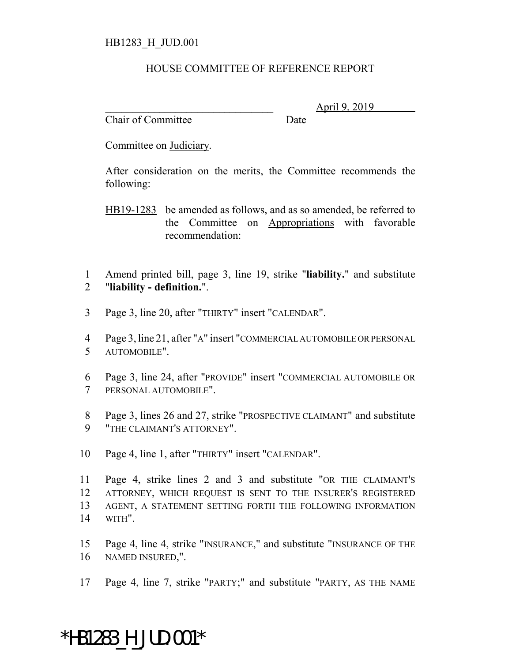## HB1283\_H\_JUD.001

## HOUSE COMMITTEE OF REFERENCE REPORT

Chair of Committee Date

\_\_\_\_\_\_\_\_\_\_\_\_\_\_\_\_\_\_\_\_\_\_\_\_\_\_\_\_\_\_\_ April 9, 2019

Committee on Judiciary.

After consideration on the merits, the Committee recommends the following:

HB19-1283 be amended as follows, and as so amended, be referred to the Committee on Appropriations with favorable recommendation:

 Amend printed bill, page 3, line 19, strike "**liability.**" and substitute "**liability - definition.**".

Page 3, line 20, after "THIRTY" insert "CALENDAR".

 Page 3, line 21, after "A" insert "COMMERCIAL AUTOMOBILE OR PERSONAL AUTOMOBILE".

 Page 3, line 24, after "PROVIDE" insert "COMMERCIAL AUTOMOBILE OR PERSONAL AUTOMOBILE".

 Page 3, lines 26 and 27, strike "PROSPECTIVE CLAIMANT" and substitute "THE CLAIMANT'S ATTORNEY".

Page 4, line 1, after "THIRTY" insert "CALENDAR".

 Page 4, strike lines 2 and 3 and substitute "OR THE CLAIMANT'S ATTORNEY, WHICH REQUEST IS SENT TO THE INSURER'S REGISTERED AGENT, A STATEMENT SETTING FORTH THE FOLLOWING INFORMATION WITH".

 Page 4, line 4, strike "INSURANCE," and substitute "INSURANCE OF THE NAMED INSURED,".

Page 4, line 7, strike "PARTY;" and substitute "PARTY, AS THE NAME

## \*HB1283\_H\_JUD.001\*